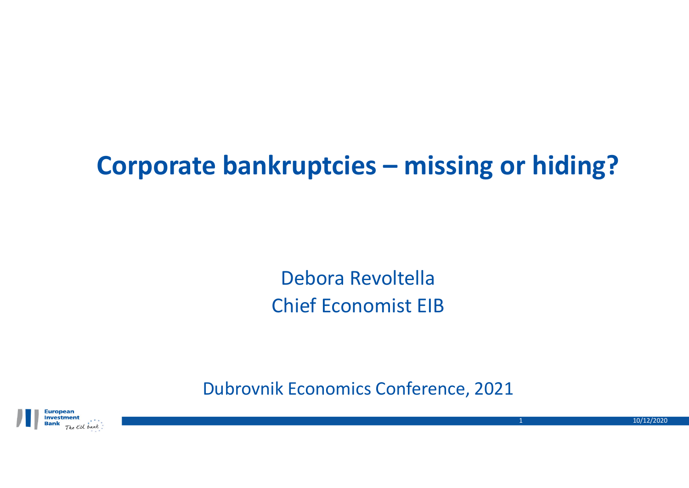# **Corporate bankruptcies – missing or hiding?**

Debora Revoltella Chief Economist EIB

Dubrovnik Economics Conference, 2021



10/12/2020

1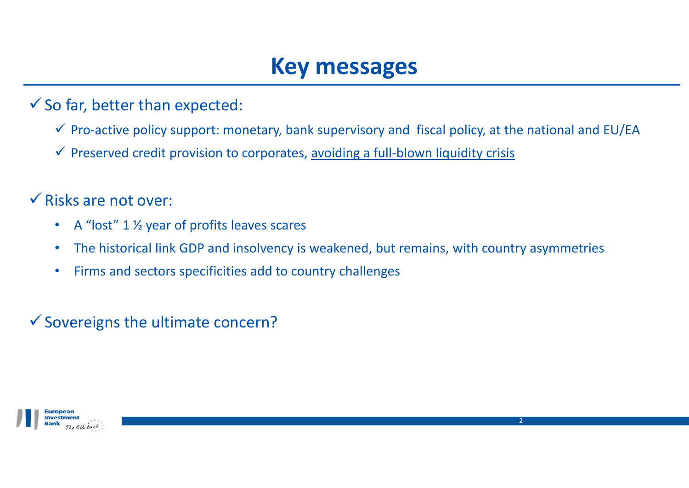## **Key messages**

 $\checkmark$  So far, better than expected:

- $\checkmark$  Pro-active policy support: monetary, bank supervisory and fiscal policy, at the national and EU/EA
- ← Preserved credit provision to corporates, avoiding a full-blown liquidity crisis
- $\checkmark$  Risks are not over:
	- •• A "lost" 1 <sup>1</sup>/<sub>2</sub> year of profits leaves scares
	- $\bullet$ The historical link GDP and insolvency is weakened, but remains, with country asymmetries
	- $\bullet$ Firms and sectors specificities add to country challenges

 $\checkmark$  Sovereigns the ultimate concern?

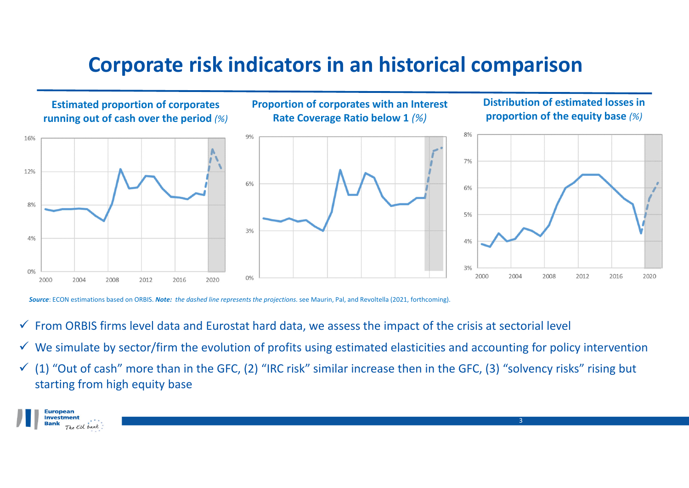### **Corporate risk indicators in an historical comparison**



*Source*: ECON estimations based on ORBIS. *Note: the dashed line represents the projections.* see Maurin, Pal, and Revoltella (2021, forthcoming).

- $\checkmark$  From ORBIS firms level data and Eurostat hard data, we assess the impact of the crisis at sectorial level
- $\checkmark$  We simulate by sector/firm the evolution of profits using estimated elasticities and accounting for policy intervention
- $(1)$  "Out of cash" more than in the GFC, (2) "IRC risk" similar increase then in the GFC, (3) "solvency risks" rising but starting from high equity base

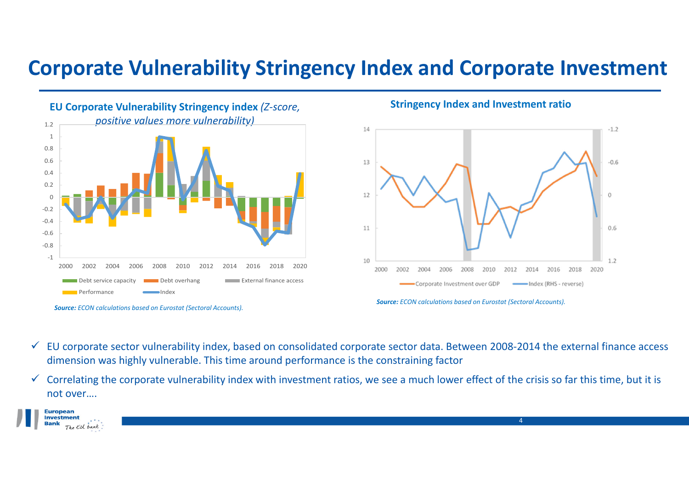### **Corporate Vulnerability Stringency Index and Corporate Investment**



*Source: ECON calculations based on Eurostat (Sectoral Accounts).*

#### **Stringency Index and Investment ratio**



4

- $\checkmark$  EU corporate sector vulnerability index, based on consolidated corporate sector data. Between 2008‐2014 the external finance access dimension was highly vulnerable. This time around performance is the constraining factor
- $\checkmark$  Correlating the corporate vulnerability index with investment ratios, we see a much lower effect of the crisis so far this time, but it is not over….



*Source: ECON calculations based on Eurostat (Sectoral Accounts).*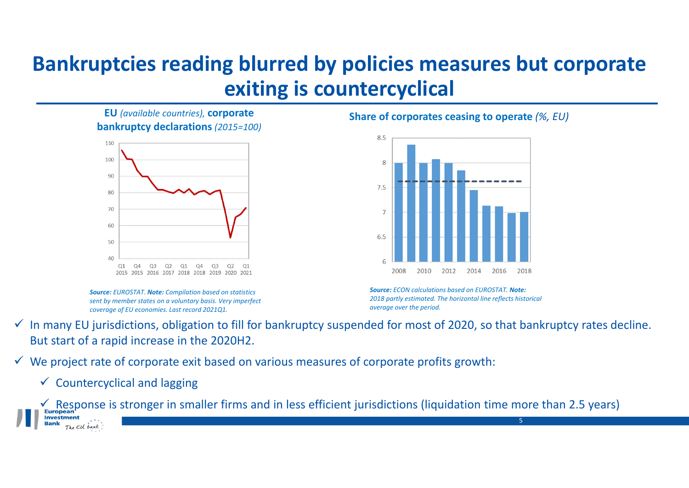### **Bankruptcies reading blurred by policies measures but corporate exiting is countercyclical**

**EU** *(available countries),* **corporate bankruptcy declarations** *(2015=100)*



*Source: EUROSTAT. Note: Compilation based on statistics sent by member states on <sup>a</sup> voluntary basis. Very imperfect coverage of EU economies. Last record 2021Q1.*

**Share of corporates ceasing to operate** *(%, EU)*



*Source: ECON calculations based on EUROSTAT. Note: 2018 partly estimated. The horizontal line reflects historical average over the period.*

- $\checkmark$  In many EU jurisdictions, obligation to fill for bankruptcy suspended for most of 2020, so that bankruptcy rates decline. But start of <sup>a</sup> rapid increase in the 2020H2.
- $\checkmark$  We project rate of corporate exit based on various measures of corporate profits growth:
	- $\checkmark$  Countercyclical and lagging

 $\leq$  Response is stronger in smaller firms and in less efficient jurisdictions (liquidation time more than 2.5 years) **Investment** 5The EU bank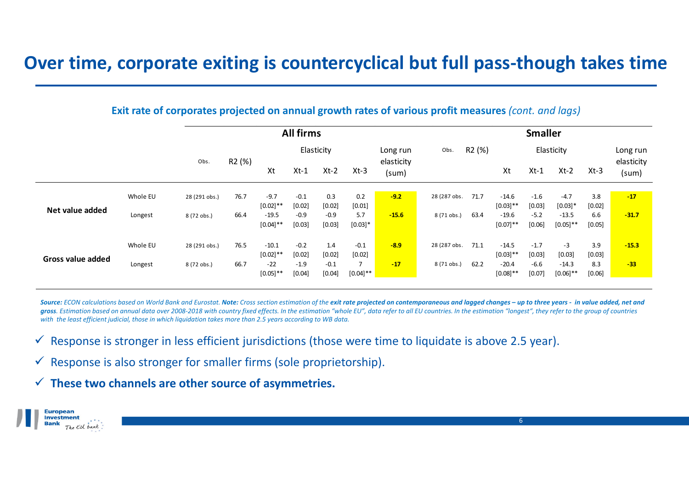### **Over time, corporate exiting is countercyclical but full pass‐though takes time**

**Exit rate of corporates projected on annual growth rates of various profit measures** *(cont. and lags)*

|                   |          |               | <b>All firms</b>   |             |        |        |               |                     |              | <b>Smaller</b>     |             |        |             |          |                     |  |
|-------------------|----------|---------------|--------------------|-------------|--------|--------|---------------|---------------------|--------------|--------------------|-------------|--------|-------------|----------|---------------------|--|
|                   |          |               | R <sub>2</sub> (%) | Elasticity  |        |        |               | Long run            | Obs.         | R <sub>2</sub> (%) | Elasticity  |        |             |          | Long run            |  |
|                   |          | Obs.          |                    | Xt          | $Xt-1$ | $Xt-2$ | $Xt-3$        | elasticity<br>(sum) |              |                    | Xt          | $Xt-1$ | $Xt-2$      | $Xt-3$   | elasticity<br>(sum) |  |
| Net value added   |          |               |                    |             |        |        |               |                     |              |                    |             |        |             |          |                     |  |
|                   | Whole EU | 28 (291 obs.) | 76.7               | $-9.7$      | $-0.1$ | 0.3    | 0.2           | $-9.2$              | 28 (287 obs. | 71.7               | $-14.6$     | $-1.6$ | $-4.7$      | 3.8      | $-17$               |  |
|                   |          |               |                    | $[0.02]$ ** | [0.02] | [0.02] | $[0.01]$      |                     |              |                    | $[0.03]$ ** | [0.03] | $[0.03]*$   | [0.02]   |                     |  |
|                   | Longest  | 8 (72 obs.)   | 66.4               | $-19.5$     | $-0.9$ | $-0.9$ | 5.7           | $-15.6$             | 8 (71 obs.)  | 63.4               | $-19.6$     | $-5.2$ | $-13.5$     | 6.6      | $-31.7$             |  |
|                   |          |               |                    | $[0.04]$ ** | [0.03] | [0.03] | $[0.03]*$     |                     |              |                    | $[0.07]$ ** | [0.06] | $[0.05]$ ** | $[0.05]$ |                     |  |
| Gross value added | Whole EU | 28 (291 obs.) | 76.5               | $-10.1$     | $-0.2$ | 1.4    | $-0.1$        | $-8.9$              | 28 (287 obs. | 71.1               | $-14.5$     | $-1.7$ | $-3$        | 3.9      | $-15.3$             |  |
|                   |          |               |                    | $[0.02]$ ** | [0.02] | [0.02] | $[0.02]$      |                     |              |                    | $[0.03]$ ** | [0.03] | [0.03]      | $[0.03]$ |                     |  |
|                   | Longest  | 8 (72 obs.)   | 66.7               | $-22$       | $-1.9$ | $-0.1$ | 7             | $-17$               | 8 (71 obs.)  | 62.2               | $-20.4$     | $-6.6$ | $-14.3$     | 8.3      | $-33$               |  |
|                   |          |               |                    | $[0.05]$ ** | [0.04] | [0.04] | $[0.04]^{**}$ |                     |              |                    | $[0.08]$ ** | [0.07] | $[0.06]$ ** | [0.06]   |                     |  |
|                   |          |               |                    |             |        |        |               |                     |              |                    |             |        |             |          |                     |  |

Source: ECON calculations based on World Bank and Eurostat. Note: Cross section estimation of the exit rate projected on contemporaneous and lagged changes – up to three years - in value added, net and gross. Estimation based on annual data over 2008-2018 with country fixed effects. In the estimation "whole EU", data refer to all EU countries. In the estimation "longest", they refer to the aroup of countries with the least efficient judicial, those in which liquidation takes more than 2.5 years according to WB data.

 $\checkmark$  Response is stronger in less efficient jurisdictions (those were time to liquidate is above 2.5 year).

 $\checkmark$  Response is also stronger for smaller firms (sole proprietorship).

**These two channels are other source of asymmetries.**

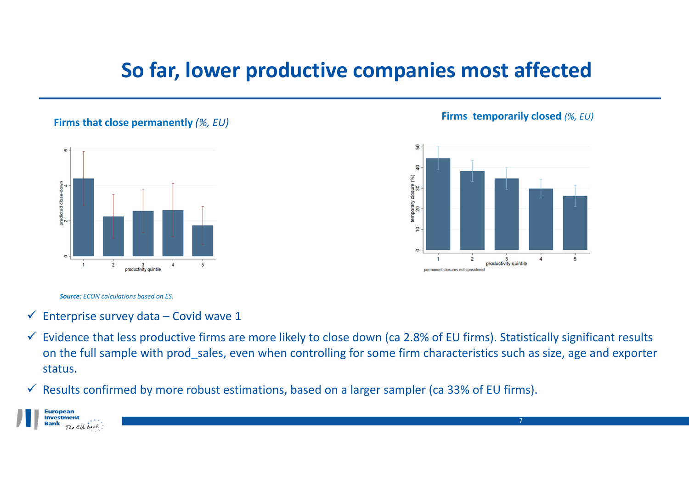### **So far, lower productive companies most affected**

#### **Firms that close permanently** *(%, EU)*



#### **Firms temporarily closed** *(%, EU)*

7



#### *Source: ECON calculations based on ES.*

- $\checkmark$  Enterprise survey data Covid wave 1
- $\checkmark$  Evidence that less productive firms are more likely to close down (ca 2.8% of EU firms). Statistically significant results on the full sample with prod sales, even when controlling for some firm characteristics such as size, age and exporter status.
- $\checkmark$  Results confirmed by more robust estimations, based on a larger sampler (ca 33% of EU firms).

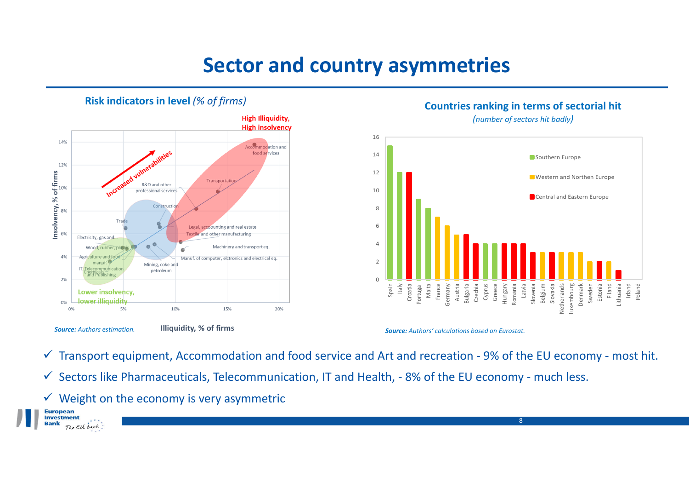### **Sector and country asymmetries**



#### **Risk indicators in level** *(% of firms)*

**Countries ranking in terms of sectorial hit**

*(number of sectors hit badly)*



8

*Source: Authors' calculations based on Eurostat.*

- Transport equipment, Accommodation and food service and Art and recreation ‐ 9% of the EU economy ‐ most hit.
- $\checkmark$  Sectors like Pharmaceuticals, Telecommunication, IT and Health, 8% of the EU economy much less.
- $\checkmark$  Weight on the economy is very asymmetric



*Source: Authors estimation.*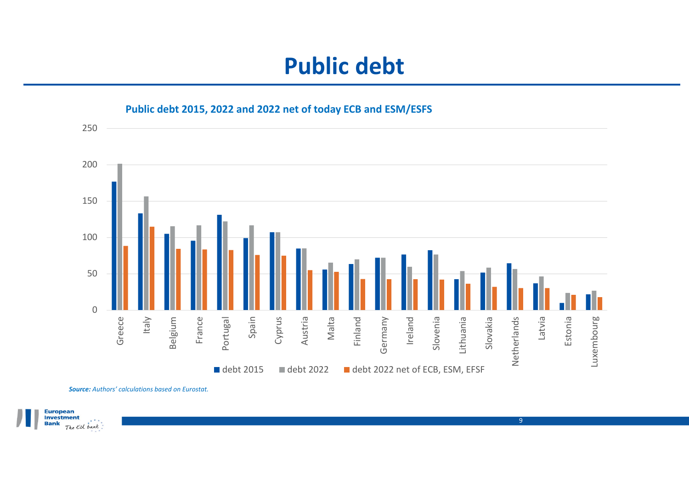

*Source: Authors' calculations based on Eurostat.*

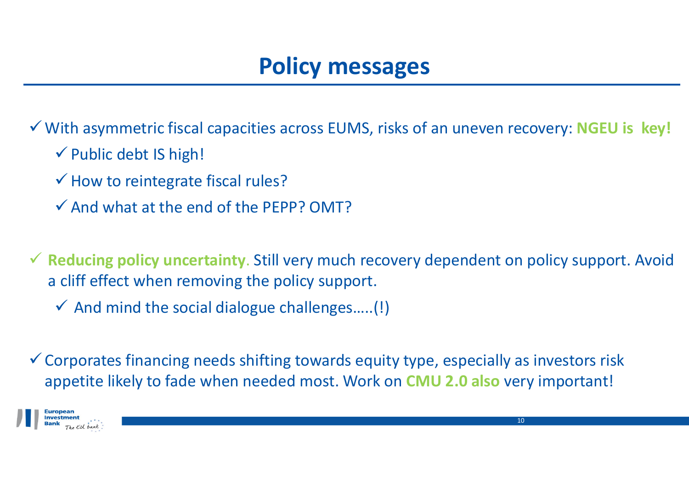# **Policy messages**

With asymmetric fiscal capacities across EUMS, risks of an uneven recovery: **NGEU is key!**

- Public debt IS high!
- $\checkmark$  How to reintegrate fiscal rules?
- $\checkmark$  And what at the end of the PEPP? OMT?

 **Reducing policy uncertainty**. Still very much recovery dependent on policy support. Avoid a cliff effect when removing the policy support.

 $\checkmark$  And mind the social dialogue challenges.....(!)

 $\checkmark$  Corporates financing needs shifting towards equity type, especially as investors risk appetite likely to fade when needed most. Work on **CMU 2.0 also** very important!

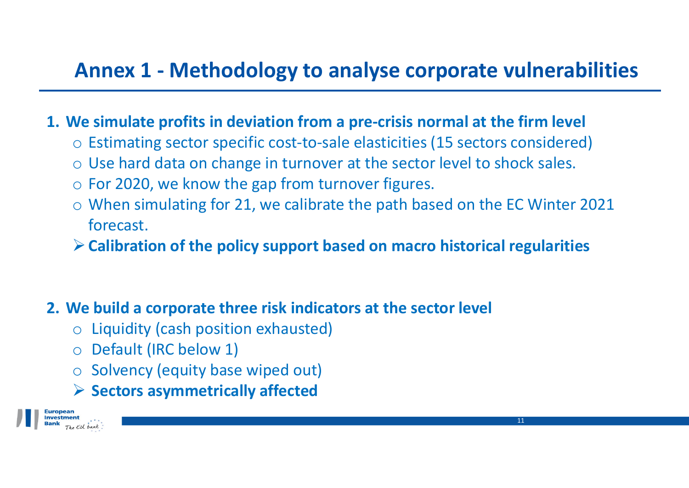### **Annex 1 ‐ Methodology to analyse corporate vulnerabilities**

### **1. We simulate profits in deviation from <sup>a</sup> pre‐crisis normal at the firm level**

- o Estimating sector specific cost‐to‐sale elasticities (15 sectors considered)
- $\circ$  Use hard data on change in turnover at the sector level to shock sales.
- $\circ$  For 2020, we know the gap from turnover figures.
- o When simulating for 21, we calibrate the path based on the EC Winter 2021 forecast.
- **Calibration of the policy support based on macro historical regularities**
- **2. We build <sup>a</sup> corporate three risk indicators at the sector level**
	- o Liquidity (cash position exhausted)
	- o Default (IRC below 1)
	- o Solvency (equity base wiped out)
	- **Sectors asymmetrically affected**